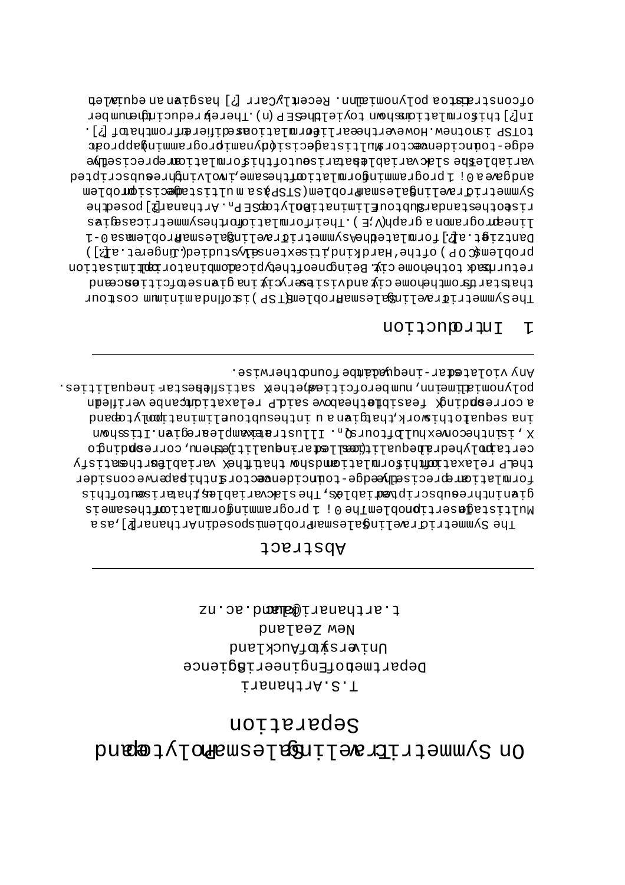# nottatages brugge dynder tegniles for the mann of the product of the bundle of the bundle of the bundle of the bundle of t

sn.os.bmade@iranadias.j New Zealand bnslærsvefhuckland DepartmepotEngineeriBgience iis.Bithanari

### Abstract

Any violatedar-inequadambefoundcherwise. polynomialiam, numberofcitiemethek satisflebestarishequalities. a corrempling feasibletheabove said relaxationicanbe verifledn ina sequatrochiavork, hatibarana u inthesubtourliminatimolytorna X 'rantheconexhulDtoursyn. Illustraexwmplearegian.Itisshown certaipolyhedrahequalit(memiledarinequaliti)empemu,correspolingo thelp relaxationificromlationalshow that finex variablest thesetisfy tormlationreprecisemhedge-touncidencetoranthipaperweconsider stdjiojnesings i aplestiojnes, The slackariables than irredithis WultistagasertipnoblemThe 0 ; lprogrammingormlationingerheis ssa, [ @ xanactrid very lingslessing to bland very hand very lings of T

#### Introntion T.

ofconstrants bolynomial . RecentlyCarr [?] hasgiven an equisible In[?]thispromberionship toyielBhase P (n) .Therebretoucingherm toTSP isnotnew.Howeverthesarligermistions.chipterentromthatclil. edge-touncidencectorallistagecisionalymamiprogrammingapproac wariable Bhe slacvariable batariseutofthis ormlationreprecisedhe andgweall 1 programmingormlations. And himographs and campacripted mmueriares in Balesmeam proprem (STSP) as a multisted baroplem riseothestandar&ubtoufliminatiBolytogSEP<sub>n</sub>.Arthanarfl]posedhe zai@essiriemmvzedidoijaLmiohiedT.(H.V)dqsip snomsiporosenil Dantzigt.al?.lformlatedheAsymmetriTraelingalesmafroblemacs0-1 proplem&OP)ofthe'Mardkind;itaextensawarddied(.gocet.al?)) returnad tothehome cix Beingoneoftheypicadombinatoriquitmisation thatstartional site of the strategy is the series of the septilition of the secend The Symmetriffraciles and according to Pischhosminian costour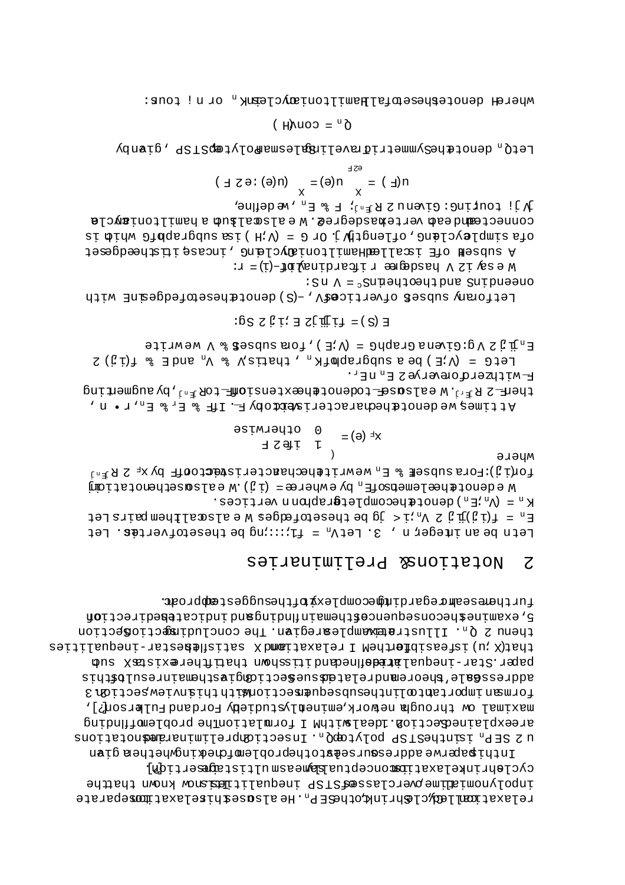Inthigorycouptions and the production of the form of the production of the production of  $\alpha$ cyclehrinkelaxaticmonceptuaEameasmultistagesertidn. inpolynomialine previdenta dall'anno in tequalition charge di terre relaxationilegyclehrink, cheffrager, Healscahiselaxationeparate

furthemeseamcegardimpecomplexychiesuggestemproac. gotiosithedrational dependence to the product product people ion thenu 2 Q<sub>n</sub>. Illustratamplestegian. The concludinations notion that/alphart is not a hele with the princip setter - ineducing the setter setter pus Xasizaredua idad monazii buabenlabiai Laupeni-ist2. 1918 studacesegale.aboremudrelatedacesectiongiasthemainresulbathis formæn important olinthesubsequementionMithhthieversetion 3 maximal'ow through nework eminenlystudiehy Fordand Fulkrson?], areexplainedection.ldealwithM I formlationThe problemoffInding u 2 SEP<sub>n</sub> isinthestrog polytogo<sub>n</sub>. Insectionizationism and the constraints and

#### Relions& Preliminaries  $\overline{C}$

 $K_n = (V_n \times K_n)$  denot $\#$ benomplet $\#Y$ enom nertices.  $E_n = E(\texttt{i} \cdot \texttt{j})$   $E_n$  is  $V_n$  is  $\texttt{Def}$  be thesetofedges  $W$  e alsocll had  $\texttt{Def}$ Letn be an integer n,  $S$ . Let $V_n = f_1:...$ ng be thesetofvertes. Let

 $\left( \right)$ эләцм ford. Hora subsel & E  $_n$  we write hechanger revers the  $\mathbb{P}_N$   $\mathbb{X}_n$   $\mathbb{Z}_n$ We denote headling  $\mathbb{R}^n$  by end  $\mathbb{R}^n$  by example  $\mathbb{R}^n$  in  $\mathbb{R}^n$  by example  $\mathbb{R}^n$  and  $\mathbb{R}^n$  in  $\mathbb{R}^n$  in  $\mathbb{R}^n$  in  $\mathbb{R}^n$  in  $\mathbb{R}^n$  in  $\mathbb{R}^n$  in  $\mathbb{R}^n$  in  $\mathbb{R}^n$  in

$$
xF (e) = \begin{cases} 0 & \text{otherwise} \\ 1 & \text{if } S \end{cases}
$$

гля и транстана в де и т then E $\sum_{x} R_{\max}$  and  $\sum_{x} R_{\max}$  and  $\sum_{x} R_{\max}$  and  $\sum_{x} R_{\max}$  and  $\sum_{x} R_{\max}$ Attimes, we denot the characteris detack  $F$ . If  $F$  is  $E_x$  is  $E_x$ ,  $x \cdot n$ ,  $n \cdot n$ 

 $\exists$  ajinw  $\forall$  % diagona stol, (H;V) =  $\exists$ ndar $\exists$  snari $\exists$ : p $V \leq \pi_n$  a LetG =  $(N \cdot E)$  be a subgraph  $E_{\text{A}}$ , thatis  $V_{\text{A}}$  &  $V_{\text{A}}$  and  $E$  & f(i j) 2

 $EG \Sigma$   $Q$   $I$   $I$   $E$   $I$   $I$   $I$   $I$   $I$   $I$   $I$   $I$   $S$   $S$   $I$   $I$ 

:  $\text{S} \text{u} \Lambda = \text{S} \text{u} \bar{\mu}$  and the discreptional states  $\Lambda$ Letforany subseß ofverticesty, -(S) denotahesetofedgesinE with

Wesly laster the sequency in the figure  $x = x$ :

 $\Lambda$  j! couring: Givenus R  $_{\mathbb{F}}$   $_{\mathbb{F}}$  R  $_{\mathbb{F}}$  R  $_{\mathbb{F}}$  R  $_{\mathbb{F}}$  A  $_{\mathbb{F}}$  A  $_{\mathbb{F}}$ connecteandead vertexasdegre2. Wealswalsua a hamiltoniaycla si  $\phi$ idw  $\theta$ idqeigdus æi (H:V) =  $\theta$  iO i (Ujignelio,  $\theta$ nielovalqmis sio A subseff of Isallem Humian propried , incase itishedgeset

$$
m(\underline{H}) = \sum_{x \in \underline{X}} m(\theta) = \sum_{x \in \underline{X}} m(\theta) : \theta \in \underline{X}
$$

LetQ<sub>n</sub> denot the yemmetrid ravelingslesmanolyt @prPST ,givnby

$$
\delta^u = \text{conv}(H)
$$

where denotes and a finition in the seak norm in the section of the sense in the sense in the sense in the sense in the sense in the sense in the sense in the sense in the sense in the sense in the sense in the sense in th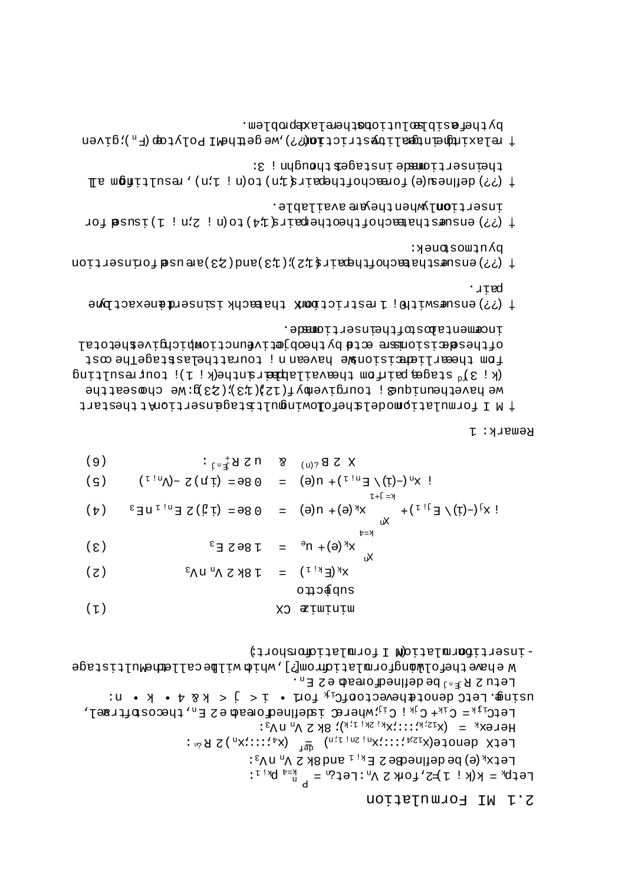### 2.1 NI Formulation

- insertibarmlation I formlationshort;

```
WehavethefolwongformlationCom[?], whith will be called healticlage
                                                              Letu 2 R ^{\text{in}} J be defined coread e 2 E<sub>n</sub>.
\mathfrak{u} in \mathfrak{g} . Tet \mathfrak{g} denotathexector \mathfrak{g}^{\mathfrak{g}} is \mathfrak{g} if \mathfrak{g} is \mathfrak{g} if \mathfrak{g} is \mathfrak{g} if \mathfrak{g} if \mathfrak{g} is \mathfrak{g} if \mathfrak{g} if \mathfrak{g} if \mathfrak{g} if \LetC<sub>ijk</sub> = C<sub>ik</sub>+C<sub>jk</sub> i C<sub>ij</sub>whereC isdeflned cread e 2 E<sub>n</sub>, the costruel,
                                                   Herex<sub>k</sub> = (x_{12:k}:::x_{k_1}x_{k_1}): 8k 2 V_n n y_3:
                          LetX denote(x<sub>12A</sub> ;::;\mu_{\text{M}} ) \sum_{i=1}^{\infty} (x<sub>1</sub> ;::;\mu_{\text{M}}) 2 R<sup> &</sup>
                                               Letx<sub>k</sub> (e) be defined<br>8 2 \mathbb{E}_{k_{\hat{1}} \mathbb{1}} and 8k 2 \mathbb{V}_n ny<sub>3</sub>:
                                               Let p_k = k(k_i 1) \neq 2, for x \in V_n: Let \hat{w}_n = \sum_{r=1}^{k_1} p_{k_1} :
```

| (S)               | $! \mathbf{x}^{\mathbf{U}}(t) - \mathbf{x}^{\mathbf{U}}(t) - \mathbf{x}^{\mathbf{U}}(t) = 0$ 86 = $(\mathbf{u}^{\mathbf{U}}) - \mathbf{x}^{\mathbf{U}}(t) - \mathbf{x}^{\mathbf{U}}(t)$ |     |                                                                               |
|-------------------|-----------------------------------------------------------------------------------------------------------------------------------------------------------------------------------------|-----|-------------------------------------------------------------------------------|
| $(\frac{\pi}{2})$ |                                                                                                                                                                                         |     | $I + I = X$<br>xг                                                             |
| $(\epsilon)$      |                                                                                                                                                                                         |     | $K = \frac{1}{4}$<br>$X^{k}(\Theta) + 0^{\Theta} = 18^{\Theta} S E^{3}$<br>xч |
| (7)               | $X^{k}(E^{k!})$ = T 8K Z $\Lambda^{u}$ u $\Lambda^{3}$                                                                                                                                  |     |                                                                               |
|                   |                                                                                                                                                                                         |     | o∏o∯qns                                                                       |
| ( T )             |                                                                                                                                                                                         | GX. | æņwņuņw                                                                       |

 $\mathcal{X}$  3 B  $_{(u)}$  8 U 2 B  $_{(u)}$  5 E 3

Remark: 1

.ebenenta bostoftheinsertionasde. Ofthes**d**æisionær<sup>s er</sup>t**d** bythopjætivennctiompichyiveshetotal iam th<del>ea</del>rli<del>ape</del>ising havean n ; touratchelastageThe ost  $\left( k : 3 \right)$  stages pair on the valiance rime  $\left( k : 1 \right)$  to  $\left( k : 3 \right)$ we havetheunique ; tourgivemyf(12)(13); 23 g: We choseatthe # N I formulatiomodelahefolowingultatagensertionlichent

 $(9)$ 

- 'лŗed + (??) ensuæswith) ; lestrictionix thatachkianserdionexactDyne
- pλnfwoapuek:  $+$  (55) ensidence the endependent  $\arg z$  ): (73)  $\arg z$  (83)  $\arg z$  (13)  $\arg z$  (15)  $\arg z$
- inserti**on**lwhentheyare available. 4 (??) ensuesthated chochestre heims is the condition of the for
- theinsertiomede instagebthoughn ; 3:  $\downarrow$  (33) definest (e) toreachotthegarizatin)  $\downarrow$  (n;  $\downarrow$  in)  $\downarrow$  as  $\uparrow$  in  $\downarrow$  (33)  $\downarrow$
- bytheteriolealutionscherelaxeproblem.  $+$  rejexindering the strictions of  $\sim$  100  $\sim$  100  $\sim$  100  $\sim$  100  $\sim$  100  $\sim$  100  $\sim$  100  $\sim$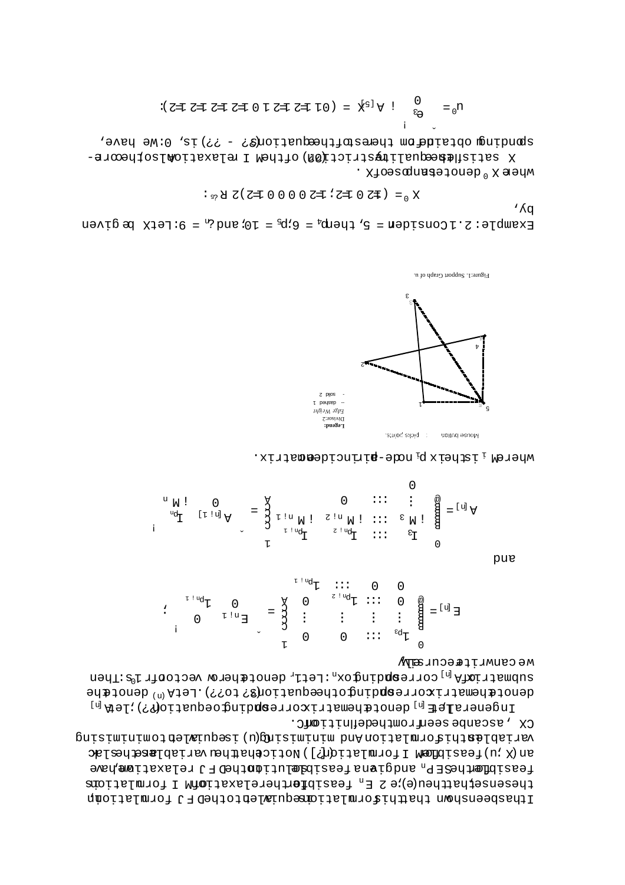Ithasbeenshown thathif romal tiomsequivalent of the D form lation  $\mathfrak n$ is ulation form I M of relaxation the for feasible <sup>n</sup> E 2 e;)e(u the that sense, the feasible had  $F<sub>n</sub>$  and  $g$  is a relatible and  $h$  and  $h$  and  $h$  and  $h$  and  $h$  and  $h$  and  $h$  and  $h$  and  $h$ ariables v universation  $[$  (  $k$   $]$  ).  $[$   $\mathcal{L}$   $]$   $\mathcal{L}$   $[$   $\mathcal{L}$   $]$   $\mathcal{L}$   $[$   $\mathcal{L}$   $]$   $\mathcal{L}$   $[$   $\mathcal{L}$   $]$   $\mathcal{L}$   $[$   $\mathcal{L}$   $]$   $\mathcal{L}$   $[$   $\mathcal{L}$   $]$   $\mathcal{L}$   $[$   $\mathcal{L}$   $]$   $\mathcal{L}$ misiminising to the congressive produce is also to the computation of  $\alpha$ . CX , as can be seen from the definition  $\mathcal{L}$ 

 $I^{\text{ref}}$  is a let  $\mathbb{P}^{\text{ref}}$  of  $\mathbb{P}^{\text{ref}}$  and  $\mathbb{P}^{\text{ref}}$  and  $\mathbb{P}^{\text{ref}}$  and  $\mathbb{P}^{\text{ref}}$  $\texttt{qenv}$  denot $\texttt{qnew}$  is  $\texttt{qnew}$  and  $\texttt{qnew}$  are denote  $\texttt{qnew}$  and  $\texttt{qnew}$  are denoted benote  $\texttt{qnew}$  $\mathbf{u} = \mathbf{u}$  and  $\mathbf{u}$  is  $\mathbf{u}$  is the v  $\mathbf{u}$  a corresponding  $\mathbf{u}_\mathbf{u}$  is  $\mathbf{u}_\mathbf{u}$  a submatrix  $\mathbf{u}_\mathbf{u}$ Mecursive can extra

$$
E^{[p]} = \begin{matrix} \frac{\omega}{B} & 0 & \cdots & T^{[p^{p^1}]^T} \\ \frac{\omega}{B} & \vdots & \vdots & \vdots & \vdots \\ \frac{\omega}{B} & \vdots & \vdots & \vdots & \vdots \\ 0 & \cdots & \vdots & \vdots \\ 0 & 0 & \cdots & 0 & 0 \end{matrix} \quad \begin{matrix} \frac{\omega}{B} & \cdots & \frac{\omega}{B} & \cdots & \frac{\omega}{B} \\ \vdots & \vdots & \ddots & \vdots & \vdots \\ \frac{\omega}{B} & \cdots & \vdots & \vdots \\ 0 & \cdots & \vdots & \vdots \\ 0 & 0 & \cdots & 0 \end{matrix}.
$$

pue

$$
A_{m1} = \begin{bmatrix} 0 & \cdots & 0 & 0 \\ \frac{1}{2} & \cdots & \cdots & 0 & 0 \\ \vdots & \vdots & \ddots & \vdots & \vdots \\ \frac{1}{2} & \cdots & \cdots & \frac{1}{2} & \cdots \\ \frac{1}{2} & \cdots & \cdots & \frac{1}{2} & \cdots \end{bmatrix} \begin{bmatrix} 1 & \cdots & 0 & 0 \\ \vdots & \ddots & \vdots & \vdots \\ \vdots & \ddots & \vdots & \vdots \\ \frac{1}{2} & \cdots & \cdots & \cdots \\ \vdots & \vdots & \ddots & \vdots \\ \frac{1}{2} & \cdots & \cdots & \frac{1}{2} & \cdots \end{bmatrix} \begin{bmatrix} 0 & \cdots & 0 & 0 \\ \vdots & \ddots & \vdots & \vdots \\ \vdots & \ddots & \vdots & \vdots \\ \vdots & \ddots & \vdots & \vdots \\ \vdots & \ddots & \vdots & \vdots \\ \vdots & \ddots & \vdots & \vdots \\ \vdots & \ddots & \vdots & \vdots \\ \vdots & \ddots & \vdots & \vdots \\ \vdots & \ddots & \vdots & \vdots \\ \vdots & \ddots & \vdots & \vdots \\ \vdots & \ddots & \vdots & \vdots \\ \vdots & \ddots & \vdots & \vdots \\ \vdots & \ddots & \vdots & \vdots \\ \vdots & \ddots & \vdots & \vdots \\ \vdots & \ddots & \vdots & \vdots \\ \vdots & \ddots & \vdots & \vdots \\ \vdots & \ddots & \vdots & \vdots \\ \vdots & \ddots & \vdots & \vdots \\ \vdots & \ddots & \vdots & \vdots \\ \vdots & \ddots & \vdots & \vdots \\ \vdots & \ddots & \vdots & \vdots \\ \vdots & \ddots & \vdots & \vdots \\ \vdots & \ddots & \vdots & \vdots \\ \vdots & \ddots & \vdots & \vdots \\ \vdots & \ddots & \vdots & \vdots \\ \vdots & \ddots & \vdots & \vdots \\ \vdots & \ddots & \vdots & \vdots \\ \vdots & \ddots & \vdots & \vdots \\ \vdots & \ddots & \vdots & \vdots \\ \vdots & \ddots & \vdots & \vdots \\ \vdots & \ddots & \vdots & \vdots \\ \vdots & \ddots & \vdots &
$$

where  $\frac{1}{1}$  increase in  $\frac{1}{10}$  in  $\frac{1}{10}$  in the increase is  $\frac{1}{10}$  where  $\frac{1}{10}$ 



 $\mu$ ie Graph of u.

 $\Delta q'$ : <sub>s?</sub> ਖੋ て(て=τ 0 0 0 0 0 ਟ=τ : ट=τ 0 ट≢ ) = <sub>0</sub> х =

Example: 2.1 Considem = 5, theng<sub>4</sub> =  $6$ ip<sub>5</sub> = 10; and  $\dot{c}_n$  = 9: Let X begiven

where X <sup>0</sup> denoteanmes . X of the *x* k satisflemedualidation. I Medio ( a ethe orreshave, We have in the estof the options : - ?? ) is, O:We have,

$$
n_0 = \bigoplus_{\xi_3} \bigoplus_{i=1}^{n_1} \forall x_i \in (0 \text{ if } x = 0 \text{ if } x = 0 \text{ if } x = 0 \text{ if } x = 0 \text{ if } x = 0 \text{ if } x = 0 \text{ if } x = 0 \text{ if } x = 0 \text{ if } x = 0 \text{ if } x = 0 \text{ if } x = 0 \text{ if } x = 0 \text{ if } x = 0 \text{ if } x = 0 \text{ if } x = 0 \text{ if } x = 0 \text{ if } x = 0 \text{ if } x = 0 \text{ if } x = 0 \text{ if } x = 0 \text{ if } x = 0 \text{ if } x = 0 \text{ if } x = 0 \text{ if } x = 0 \text{ if } x = 0 \text{ if } x = 0 \text{ if } x = 0 \text{ if } x = 0 \text{ if } x = 0 \text{ if } x = 0 \text{ if } x = 0 \text{ if } x = 0 \text{ if } x = 0 \text{ if } x = 0 \text{ if } x = 0 \text{ if } x = 0 \text{ if } x = 0 \text{ if } x = 0 \text{ if } x = 0 \text{ if } x = 0 \text{ if } x = 0 \text{ if } x = 0 \text{ if } x = 0 \text{ if } x = 0 \text{ if } x = 0 \text{ if } x = 0 \text{ if } x = 0 \text{ if } x = 0 \text{ if } x = 0 \text{ if } x = 0 \text{ if } x = 0 \text{ if } x = 0 \text{ if } x = 0 \text{ if } x = 0 \text{ if } x = 0 \text{ if } x = 0 \text{ if } x = 0 \text{ if } x = 0 \text{ if } x = 0 \text{ if } x = 0 \text{ if } x = 0 \text{ if } x = 0 \text{ if } x = 0 \text{ if } x = 0 \text{ if } x = 0 \text{ if } x = 0 \text{ if } x = 0 \text{ if } x = 0 \text{ if } x = 0 \text{ if } x = 0 \text{ if } x = 0 \text{ if } x = 0 \text{ if } x = 0 \text{ if } x = 0 \text{ if } x = 0 \text{ if } x = 0 \text{ if } x = 0 \text{ if } x = 0 \text{ if } x = 0 \text{ if } x = 0 \text{
$$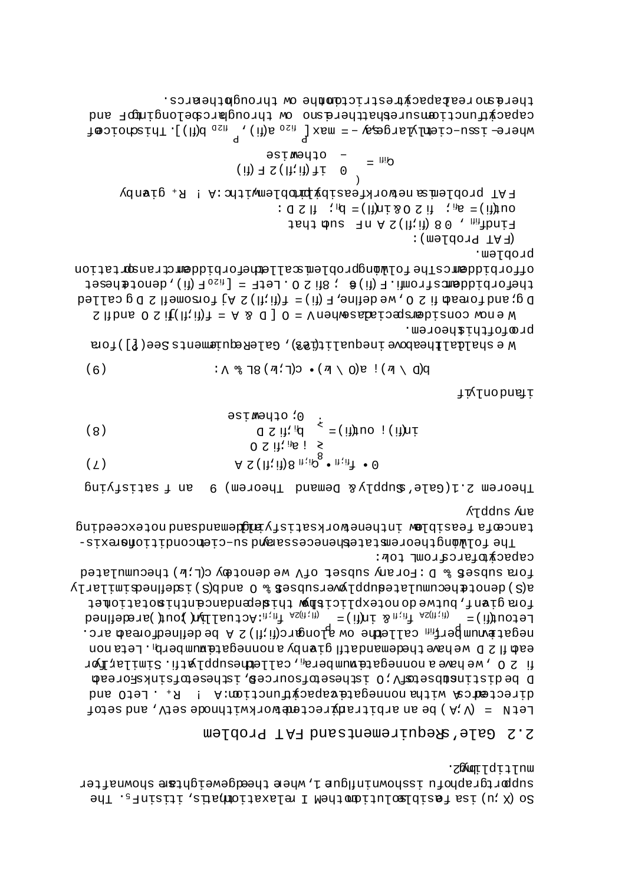∙z&moqt⊺dtq⊺nwu anbbatdsppper nadarbonging T'Mper fheedgeweighter spownstter so (X . and as featbless of the contract repeater in transisting the

#### 2.2 Gale'a9cquirementsand FAT Problem

capacidatoreztowr for: fora subset & D: Forany subset of V we denotery c(Lib) thecumulated a(S) denot the number of an absorpt seen be complex in the defined in Lariy fora givnt, butwedonotexplicitm windependancenthimotatiomet bendfield and  $\lim_{n \to \infty} \frac{1}{n}$  in  $\lim_{n \to \infty} \frac{1}{n}$  in  $\lim_{n \to \infty} \frac{1}{n}$  in  $\lim_{n \to \infty} \frac{1}{n}$  in  $\lim_{n \to \infty} \frac{1}{n}$  in  $\lim_{n \to \infty} \frac{1}{n}$  in  $\lim_{n \to \infty} \frac{1}{n}$  in  $\lim_{n \to \infty} \frac{1}{n}$  in  $\lim_{n \to \infty} \frac{1}{n}$  in negattemungerf<sub>in</sub> calledhe°ow alongarc(fi;fi) 2 A be definedforead arc. ead il 2 D wehaderhademandati givang anonnegatemunder $h$ . Letanon fi 2 0 , we have a nonnegate mumbera<sub>fi</sub> , callednesupplyitis. Similarligr D bedistin**sto**bsetwich isthesetoracem. Isthesetorachead directed can with a nonnegate vapacinum form form in the common and LetN =  $(N \cdot N)$  be an arbitrant rectember throut throde sety, and set of

Arddns Are tencepta feasiblew inthenorksatisity bilogram and horresceeding The folar mordeoremetated and cressasport of enconditional size-

paivlaids 1 ns Theorem 2.1(Gale'auguply& Demand Theorem) 9

**Ji**yInobnai

$$
(\mathbf{6}) \qquad \qquad : \Lambda \, \mathcal{B} \, (\mathbf{7}, \mathbf{7}) \, \bullet \, (\mathbf{8}, \mathbf{7}) \, \mathbf{8} \, \mathbf{7} \, \mathbf{8} \, \mathbf{1} \, \mathbf{1} \, \mathbf{1} \, \mathbf{1} \, \mathbf{1} \, \mathbf{1} \, \mathbf{1} \, \mathbf{1} \, \mathbf{1} \, \mathbf{1} \, \mathbf{1} \, \mathbf{1} \, \mathbf{1} \, \mathbf{1} \, \mathbf{1} \, \mathbf{1} \, \mathbf{1} \, \mathbf{1} \, \mathbf{1} \, \mathbf{1} \, \mathbf{1} \, \mathbf{1} \, \mathbf{1} \, \mathbf{1} \, \mathbf{1} \, \mathbf{1} \, \mathbf{1} \, \mathbf{1} \, \mathbf{1} \, \mathbf{1} \, \mathbf{1} \, \mathbf{1} \, \mathbf{1} \, \mathbf{1} \, \mathbf{1} \, \mathbf{1} \, \mathbf{1} \, \mathbf{1} \, \mathbf{1} \, \mathbf{1} \, \mathbf{1} \, \mathbf{1} \, \mathbf{1} \, \mathbf{1} \, \mathbf{1} \, \mathbf{1} \, \mathbf{1} \, \mathbf{1} \, \mathbf{1} \, \mathbf{1} \, \mathbf{1} \, \mathbf{1} \, \mathbf{1} \, \mathbf{1} \, \mathbf{1} \, \mathbf{1} \, \mathbf{1} \, \mathbf{1} \, \mathbf{1} \, \mathbf{1} \, \mathbf{1} \, \mathbf{1} \, \mathbf{1} \, \mathbf{1} \, \mathbf{1} \, \mathbf{1} \, \mathbf{1} \, \mathbf{1} \, \mathbf{1} \, \mathbf{1} \, \mathbf{1} \, \mathbf{1} \, \mathbf{1} \, \mathbf{1} \, \mathbf{1} \, \mathbf{1} \, \mathbf{1} \, \mathbf{1} \, \mathbf{1} \, \mathbf{1} \, \mathbf{1} \, \mathbf{1} \, \mathbf{1} \, \mathbf{1} \, \mathbf{1}
$$

proptchiancorem.  $\mathbb N$  e shalal Lheabora inequalities  $\mathbb N$ , GaleRequiements See (?) for  $\mathbb N$ 

propTem. offorbiddemcsThefolworgproblemscalledhetorbiddemctransprtation  $\texttt{if} \mathcal{L} = \texttt{if} \mathcal{L} = \texttt{if} \mathcal{L} = \texttt{if} \mathcal{L} = \texttt{if} \mathcal{L} = \texttt{if} \mathcal{L} = \texttt{if} \mathcal{L} = \texttt{if} \mathcal{L} = \texttt{if} \mathcal{L} = \texttt{if} \mathcal{L} = \texttt{if} \mathcal{L} = \texttt{if} \mathcal{L} = \texttt{if} \mathcal{L} = \texttt{if} \mathcal{L} = \texttt{if} \mathcal{L} = \texttt{if} \mathcal{L} = \texttt{if} \mathcal{L}$ Dg; and foreach if  $\Omega$  (iiiii) = (ii) T , end the some if  $\Omega$  is delied S fibra O S it (fi: ii)  $1 = A$  s C ] O = V nedwearbale premediano wone W

 $\frac{1}{4}$  and  $\frac{1}{2}$  (iii)  $\frac{1}{2}$  (iii)  $\frac{1}{2}$  (iii)  $\frac{1}{2}$  and  $\frac{1}{2}$  and  $\frac{1}{2}$  and  $\frac{1}{2}$  and  $\frac{1}{2}$  and  $\frac{1}{2}$  and  $\frac{1}{2}$  and  $\frac{1}{2}$  and  $\frac{1}{2}$  and  $\frac{1}{2}$  and  $\frac{1}{2}$  and  $\frac{1$ - ofhewise  $G^{\text{III}} =$  $(i)$   $\exists$   $S$   $(i); (j)$   $\exists$   $i$  0 FAT problems neworkfeasiby burblemwith: A! R. gianby  $: Q \times W$  =  $\mathbb{R}^H$  :  $\mathbb{R}^H$  =  $\mathbb{R}^H$  =  $\mathbb{R}^H$  =  $\mathbb{R}^H$  :  $\mathbb{R}^H$  =  $\mathbb{R}^H$  =  $\mathbb{R}^H$  =  $\mathbb{R}^H$  =  $\mathbb{R}^H$  =  $\mathbb{R}^H$  =  $\mathbb{R}^H$  =  $\mathbb{R}^H$  =  $\mathbb{R}^H$  =  $\mathbb{R}^H$  =  $\mathbb{R}^H$  =  $\math$ Jah bud The (fi, ii) 80, http:// (H. A.T. **b. D. D. L. A. A. P. A.** 

there morealapacytestrictomhne ow throughthenrcs. capelent Homain and the represence on throndmatcapelongingon and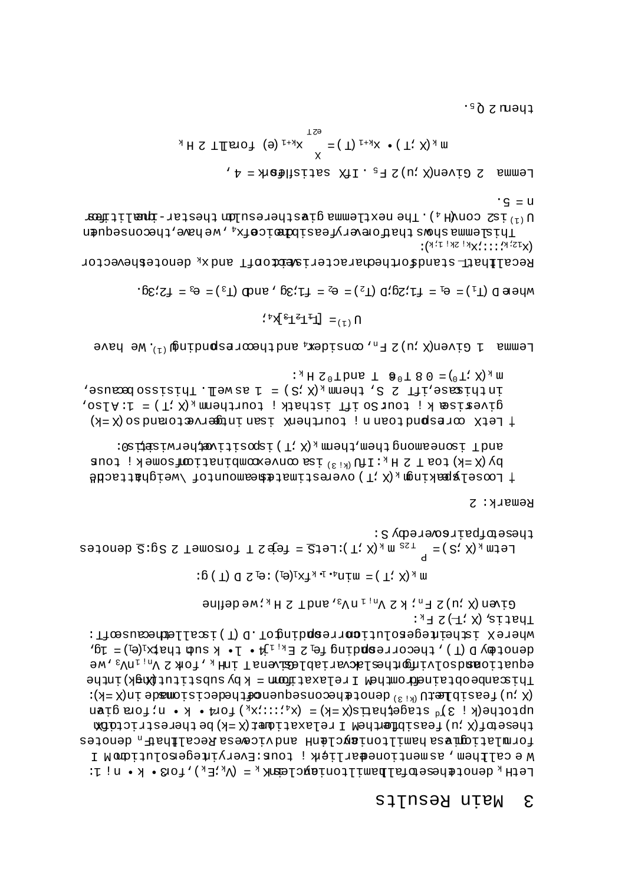$:$   $A$   $H$   $Z$   $(\pm 7, X)$  ,  $R$   $T$   $T$   $T$ whereX istheinegesolutionrrespation (T) isslleanceausedfT: denot  $\Phi$ y D (T), the corresponding fel 2 E<sub>kil</sub> H · l · k su a that  $\Phi$ <sub>i</sub> e l 3. equationabolouring Languer and Artisble and Linis, Forth Su<sub>ni</sub>n, Ne Thiscombe obtained methed Irelaxatimomia k by substituting Afriche  $(X = X)$ ni əbamoizibəbəhlə onsequenpəzmosiqilə baycanab ( $X = X$ ) is  $\max_{\mathbf{A}} \mathbf{B}$  at  $\mathbf{A}$  stagetharts(X = k) =  $(\mathbf{x}_4 \cdot \mathbf{x}_1 \cdot \mathbf{x}_1 \cdot \mathbf{x}_2 \cdot \mathbf{A} \cdot \mathbf{x}_3 \cdot \mathbf{x}_4 \cdot \mathbf{x}_5 \cdot \mathbf{x}_6)$  $\mathbf{w}$  (x  $\mathbf{w}$ ) feasibflem I relaxational  $\mathbf{w}$  is the relational form  $\mathbf{w}$ formlations assumilionially individually and vice assaillable and the sending Wecellbem, as mentionedarlight; tour:Everyintegerolution I LetH<sub>k</sub> denot $\texttt{supdegree}$ banil hamiltonian komik komik, k $\texttt{v}_k$ i komik), fo $\texttt{sup}$ 

Given (X  $:$  u,  $\geq$   $\leq$   $\leq$   $\leq$   $\leq$   $\leq$   $\leq$   $\leq$   $\leq$   $\leq$   $\leq$   $\leq$   $\leq$   $\leq$   $\leq$   $\leq$   $\leq$   $\leq$   $\leq$   $\leq$   $\leq$   $\leq$   $\leq$   $\leq$   $\leq$   $\leq$   $\leq$   $\leq$   $\leq$   $\leq$   $\leq$   $\leq$   $\leq$   $\leq$ 

 $: \mathbb{S} \times \mathbb{Z} \times \mathbb{Z} \times \mathbb{Z} \times \mathbb{Z} \times \mathbb{Z} \times \mathbb{Z} \times \mathbb{Z} \times \mathbb{Z} \times \mathbb{Z} \times \mathbb{Z} \times \mathbb{Z} \times \mathbb{Z} \times \mathbb{Z} \times \mathbb{Z} \times \mathbb{Z} \times \mathbb{Z} \times \mathbb{Z} \times \mathbb{Z} \times \mathbb{Z} \times \mathbb{Z} \times \mathbb{Z} \times \mathbb{Z} \times \mathbb{Z} \times \mathbb{Z} \times \mathbb{Z} \times \mathbb{Z} \times \mathbb$ 

thesemethairsomeredy S: Letm  $_k$  (X ; S = ( S =  $\frac{q}{q}$  =  $\frac{q}{q}$  =  $\frac{q}{q}$  =  $\frac{q}{q}$  =  $\frac{q}{q}$  =  $\frac{q}{q}$  =  $\frac{q}{q}$  =  $\frac{q}{q}$  =  $\frac{q}{q}$  =  $\frac{q}{q}$  =  $\frac{q}{q}$  =  $\frac{q}{q}$  =  $\frac{q}{q}$  =  $\frac{q}{q}$  =  $\frac{q}{q}$  =  $\frac{q}{q}$  =  $\frac{q$ 

Remark: 2

:02 Hasiwied Havijisogai (T; X) <sub>x</sub> mnedd, medd promaenoai Tbns by (X = k) toa T 2 H  $_k$ : IfU  $^{(k+3)}$  us convexpondinational isome k j tous # Looselgaring were the fame and the famount of \veightescle

:  $A_A$  H  $C^0$ T bns T  $\theta^0$ T 8 0 =  $(°T; X)_A$  m , sause , if T sause  $\mu$  same  $\mu$  same  $\mu$  same  $\mu$  same  $\mu$  same  $\mu$  same  $\mu$  $S = \{f : f \in \mathbb{R}^n : f \in \mathbb{R}^n : f \in \mathbb{R}^n : f \in \mathbb{R}^n : f \in \mathbb{R}^n : f \in \mathbb{R}^n : f \in \mathbb{R}^n : f \in \mathbb{R}^n : f \in \mathbb{R}^n : f \in \mathbb{R}^n : f \in \mathbb{R}^n : f \in \mathbb{R}^n : f \in \mathbb{R}^n : f \in \mathbb{R}^n : f \in \mathbb{R}^n : f \in \mathbb{R}^n : f \in \mathbb{R}^n : f \in \mathbb{R}^$ | hetX corespndtoann ; tourthenX isan intervetorandso (X = k)

 $\texttt{P}$  and  $\texttt{P}$  and  $\texttt{P}$  and  $\texttt{P}$  and  $\texttt{P}$  and  $\texttt{P}$  and  $\texttt{P}$  and  $\texttt{P}$  and  $\texttt{P}$ 

 $\Lambda_{(1)} = \left[\mathbb{H}^{\perp} \mathbb{H}^{\perp} \mathbb{K}^{\dagger} \right]$ 

where  $D(T_1) = \theta_1 = T_1 \cdot 2g \cdot D(T_2) = \theta_2 = T_1 \cdot 3g$ , and  $(T_3) = \theta_3 = T_2 \cdot 3g$ .

 $(\mathbf{x}^{I\, \mathbf{X}\nmid \mathbf{X}};\mathbf{X},\mathbf{X},\mathbf{X},\mathbf{X})$ Recal#hatT-standforthedharacteristerorfT and  $x_k$  denoteshevector

 $\cdot$   $\varsigma$  =  $\upsilon$  $\Omega_{(1)}$  is con $\Lambda_{\beta}$  ,  $\Lambda_{\gamma}$  and  $\Lambda_{\gamma}$  is nextremmediated the state  $\Lambda_{\gamma}$  is  $\Lambda_{\gamma}$ Thislemma short thatform we have identicated with the have identicated unit

 $A$  =  $A$ realizijas X11.  $\sigma$  T  $\sigma$  (u; X) nevio 2 Pummer

 $\pi_K(X, Y) \bullet x_{k+1}(T) = \begin{cases} X & \text{if } X \in \mathbb{R}^m \\ Y & \text{if } X \in \mathbb{R}^m \end{cases}$ 

∙§ð z ruəy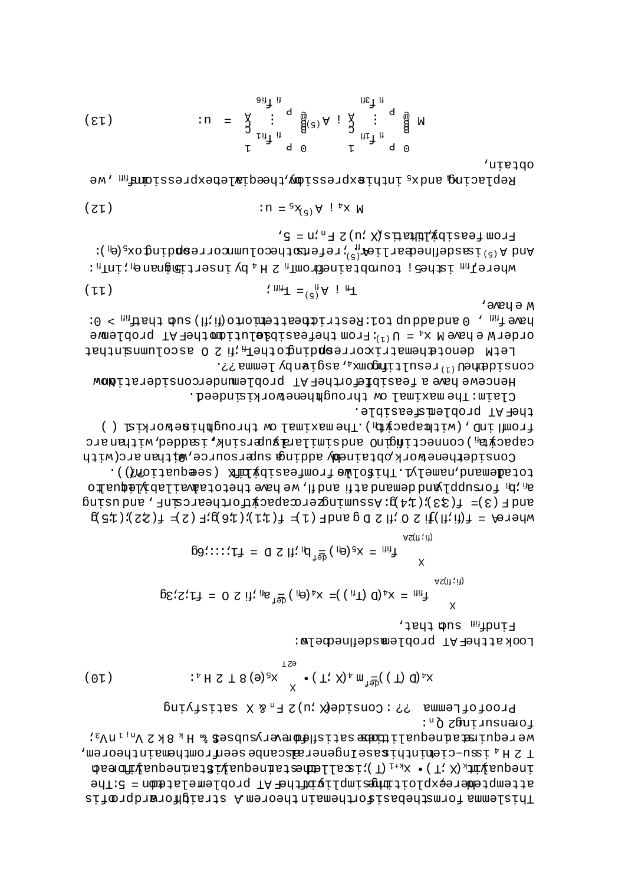:"Õ zßutinsuatoj  $\texttt{M} \circ \texttt{K}$ d $\texttt{M} \circ \texttt{M}$  is a ferma $\texttt{M} \circ \texttt{M}$  is a fermal server  $\texttt{M} \circ \texttt{M} \circ \texttt{M} \circ \texttt{M}$  $\sim$  1  $\rm H$   $\rm v$  is not constructed to the sequence of  $\rm H$  and  $\rm H$  and  $\rm H$  and  $\rm H$  and  $\rm H$  and  $\rm H$  and  $\rm H$  and  $\rm H$  and  $\rm H$  and  $\rm H$  and  $\rm H$  and  $\rm H$  and  $\rm H$  and  $\rm H$  and  $\rm H$  and  $\rm H$  and  $\rm H$  $\mathbf{p}$ eang $\mathbf{p}$ ing ang tanggal manahang tanggal manahang tanggal manang tanggal manang tanggal manang tanggal manang tanggal manang tanggal manang tanggal manang tanggal manang tanggal manang tanggal manang tanggal m attemptembteskaldoitimmen mpligintelhen AT problemelatembe 5:The Thislema formsthebasisorthemant nismeds traighorardprofis

ButAisties X 3 "A 7 (n: Xiebiano) : ? ? smmelhoiord

(01) 
$$
\begin{array}{c}\n\text{if } \mathbb{R} \text{ if } \mathbb{R} \text{ if } \mathbb{R} \text{ if } \mathbb{R} \text{ if } \mathbb{R} \text{ if } \mathbb{R} \text{ if } \mathbb{R} \text{ if } \mathbb{R} \text{ if } \mathbb{R} \text{ if } \mathbb{R} \text{ if } \mathbb{R} \text{ if } \mathbb{R} \text{ if } \mathbb{R} \text{ if } \mathbb{R} \text{ if } \mathbb{R} \text{ if } \mathbb{R} \text{ if } \mathbb{R} \text{ if } \mathbb{R} \text{ if } \mathbb{R} \text{ if } \mathbb{R} \text{ if } \mathbb{R} \text{ if } \mathbb{R} \text{ if } \mathbb{R} \text{ if } \mathbb{R} \text{ if } \mathbb{R} \text{ if } \mathbb{R} \text{ if } \mathbb{R} \text{ if } \mathbb{R} \text{ if } \mathbb{R} \text{ if } \mathbb{R} \text{ if } \mathbb{R} \text{ if } \mathbb{R} \text{ if } \mathbb{R} \text{ if } \mathbb{R} \text{ if } \mathbb{R} \text{ if } \mathbb{R} \text{ if } \mathbb{R} \text{ if } \mathbb{R} \text{ if } \mathbb{R} \text{ if } \mathbb{R} \text{ if } \mathbb{R} \text{ if } \mathbb{R} \text{ if } \mathbb{R} \text{ if } \mathbb{R} \text{ if } \mathbb{R} \text{ if } \mathbb{R} \text{ if } \mathbb{R} \text{ if } \mathbb{R} \text{ if } \mathbb{R} \text{ if } \mathbb{R} \text{ if } \mathbb{R} \text{ if } \mathbb{R} \text{ if } \mathbb{R} \text{ if } \mathbb{R} \text{ if } \mathbb{R} \text{ if } \mathbb{R} \text{ if } \mathbb{R} \text{ if } \mathbb{R} \text{ if } \mathbb{R} \text{ if } \mathbb{R} \text{ if } \mathbb{R} \text{ if } \mathbb{R} \text{ if } \mathbb{R} \text{ if } \mathbb{R} \text{ if } \mathbb{R} \text{ if } \mathbb{R} \text{ if } \mathbb{R} \text{ if } \mathbb{R}
$$

The mas intertance that LookattheFAT problemsdeilnedoelw:

$$
\mathcal{L}_{\text{eff}} = \mathbf{X} \mathbf{y} \quad \text{and} \quad \mathbf{X} = \mathbf{X} \mathbf{y} \quad \text{and} \quad \mathbf{X} = \mathbf{X} \mathbf{y} \quad \text{and} \quad \mathbf{X} = \mathbf{X} \mathbf{y} \quad \text{and} \quad \mathbf{X} = \mathbf{X} \mathbf{y} \quad \text{and} \quad \mathbf{X} = \mathbf{X} \mathbf{y} \quad \text{and} \quad \mathbf{X} = \mathbf{X} \mathbf{y} \quad \text{and} \quad \mathbf{X} = \mathbf{X} \mathbf{y} \quad \text{and} \quad \mathbf{X} = \mathbf{X} \mathbf{y} \quad \text{and} \quad \mathbf{X} = \mathbf{X} \mathbf{y} \quad \text{and} \quad \mathbf{X} = \mathbf{X} \mathbf{y} \quad \text{and} \quad \mathbf{X} = \mathbf{X} \mathbf{y} \quad \text{and} \quad \mathbf{X} = \mathbf{X} \mathbf{y} \quad \text{and} \quad \mathbf{X} = \mathbf{X} \mathbf{y} \quad \text{and} \quad \mathbf{X} = \mathbf{X} \mathbf{y} \quad \text{and} \quad \mathbf{X} = \mathbf{X} \mathbf{y} \quad \text{and} \quad \mathbf{X} = \mathbf{X} \mathbf{y} \quad \text{and} \quad \mathbf{X} = \mathbf{X} \mathbf{y} \quad \text{and} \quad \mathbf{X} = \mathbf{X} \mathbf{y} \quad \text{and} \quad \mathbf{X} = \mathbf{X} \mathbf{y} \quad \text{and} \quad \mathbf{X} = \mathbf{X} \mathbf{y} \quad \text{and} \quad \mathbf{X} = \mathbf{X} \mathbf{y} \quad \text{and} \quad \mathbf{X} = \mathbf{X} \mathbf{y} \quad \text{and} \quad \mathbf{X} = \mathbf{X} \mathbf{y} \quad \text{and} \quad \mathbf{X} = \mathbf{X} \mathbf{y} \quad \text{and} \quad \mathbf{X} = \mathbf{X} \mathbf{y} \quad \text{and} \quad \mathbf{X} = \mathbf{X} \mathbf{y} \quad \text{and} \
$$

.((fioijaupes) XhúvdiaealmoriewLoaidT.Lyleman,bhaneioi offsuptive in formulation of the correct of the country of the form of  $\mathbb{R}^n$  is  $\mathbb{R}^n$  $\text{GUT}$ sn pue '  $\text{HUT}$ sanurin $\text{GUT}$ unss $\text{GUT}$ unss $\text{H}$ :  $\text{H}$   $\text{H}$   $\text{H}$   $\text{H}$   $\text{H}$   $\text{H}$   $\text{H}$  $\beta(\exists \mathcal{I}) : (\exists \mathcal{I}) \exists \mathcal{I} \exists \mathcal{I}) \exists \mathcal{I} \exists \mathcal{I} \exists \mathcal{I} \exists \mathcal{I} \exists \mathcal{I} \exists \mathcal{I} \exists \mathcal{I} \exists \mathcal{I} \exists \mathcal{I} \exists \mathcal{I} \exists \mathcal{I} \exists \mathcal{I} \exists \mathcal{I} \exists \mathcal{I} \exists \mathcal{I} \exists \mathcal{I} \exists \mathcal{I} \exists \mathcal{I} \exists \mathcal{I} \exists \mathcal{I} \exists \mathcal{I} \exists \mathcal{I} \exists \mathcal{I} \$ 

theFAT problemsfeasible. from the componeut wo famixam ed T. (pivosqamiiw), Oni Imori () capacyhel, connectificatio and similar prefering, isopher, with an arc CONSIGETHENDE WORK OPFSIDED A GUIDE SURFIGUITG , WITHING (WITH

Clain: The maximal ow throughheneworkisindeed.

consident<sup>(1)</sup> resultimogalizative policionalistically Hencewe have a feasible of her AT problemnderconsiderationw

 $M \in \text{M}\text{C}$  $10 < \frac{1}{2}$  , 0 and add up to 1: Restriction is detected (fi. ii) such that  $\frac{1}{2}$  or order W e have M  $x_4 = U^{(1)}$ : From thefeasibalution fhehen TProblemve LetM denotahematrixorrespdingother<sub>m</sub> ifi 2 0 ascolumnanthat

$$
\mathbf{F}^{\mathrm{H}} \quad \mathbf{F}^{\mathrm{H}} = \mathbf{F}^{\mathrm{H}} \mathbf{F} \tag{T1}
$$

 $'$  s = u' "  $\exists$  z (n' x) s peuply voltages mort  $\mathop{\hbox{supp}}\nolimits \mathop{\hbox{supp}}\nolimits \mathop{\hbox{supp}}\nolimits \mathop{\hbox{supp}}\nolimits \mathop{\hbox{supp}}\nolimits \mathop{\hbox{supp}}\nolimits \mathop{\hbox{supp}}\nolimits \mathop{\hbox{supp}}\nolimits \mathop{\hbox{supp}}\nolimits \mathop{\hbox{supp}}\nolimits \mathop{\hbox{supp}}\nolimits \mathop{\hbox{supp}}\nolimits \mathop{\hbox{supp}}\nolimits \mathop{\hbox{supp}}\nolimits \mathop{\hbox{supp}}\nolimits \mathop{\hbox{supp}}$ where  $\Gamma_{\rm HI}$  is defined an  $\sigma_{\rm H}$  is  $\Gamma_{\rm H}$  in  $\sigma_{\rm H}$  is  $\Gamma_{\rm H}$  in  $\sigma_{\rm H}$  is  $\Gamma_{\rm H}$  in  $\Gamma_{\rm H}$  is

$$
(\mathbf{Z} \mathbf{I}) \qquad \qquad \mathbf{I} \mathbf{R} = \mathbf{S} \mathbf{X}_{(1)} \mathbf{Y} \mathbf{I} \mathbf{I} \mathbf{X} \mathbf{W}
$$

opfain, Replacing and  $x_5$  inthistoratesion, we construct the serion , we

(21) 
$$
\therefore u = \begin{array}{ccc} \sum_{\text{if}}^{\text{in}} \text{if}^{\text{in}} & \text{if}^{\text{in}} & \text{if}^{\text{in}} \text{if} \\ \sum_{\text{if}}^{\text{in}} \text{if}^{\text{in}} & \text{if}^{\text{in}} & \text{if}^{\text{in}} \text{if} \\ \sum_{\text{if}}^{\text{in}} \text{if}^{\text{in}} & \text{if}^{\text{in}} & \text{if}^{\text{in}} \text{if} \\ \text{if}^{\text{in}} & \text{if}^{\text{in}} & \text{if}^{\text{in}} & \text{if}^{\text{in}} \end{array}
$$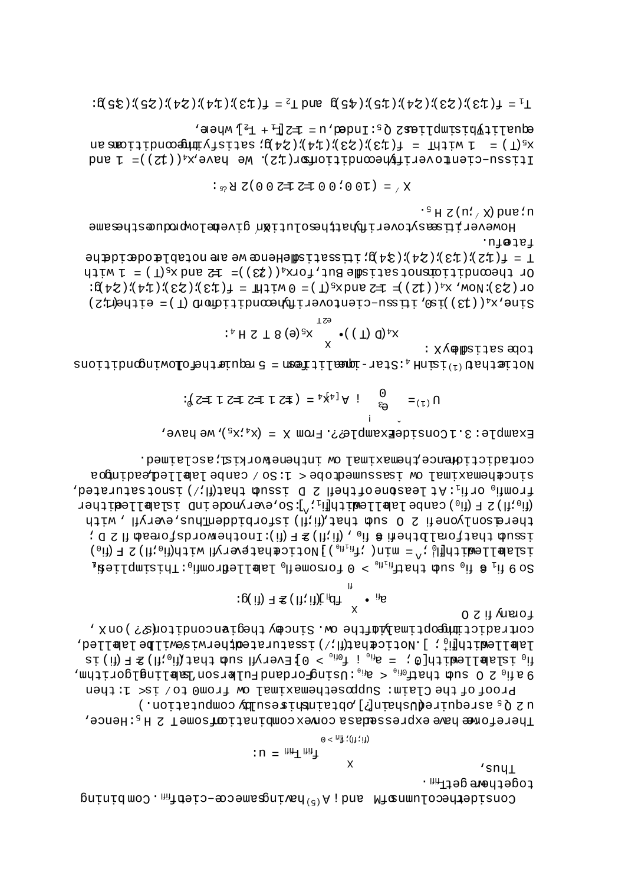togeth<del>a</del>reget<u>r<sub>in</sub>,</u>  $\texttt{String}$  mod.  $\texttt{m}$  is  $\texttt{q}$  is  $\texttt{q}$  is  $\texttt{q}$  is  $\texttt{q}$  is  $\texttt{q}$  is  $\texttt{q}$  is  $\texttt{q}$  is  $\texttt{q}$  is  $\texttt{q}$  is  $\texttt{q}$  is  $\texttt{q}$  is  $\texttt{q}$  is  $\texttt{q}$  is  $\texttt{q}$  is  $\texttt{q}$  is  $\texttt{q}$  is  $\text$ 

 $^{\prime}$  sny $_{\rm L}$ 

$$
:u = \lim_{\text{diff}} \text{Tr} \frac{1}{\text{diag}} \text{.}
$$

Proof of the Claim: Supposethemaximal'w from0 to/ is< 1: then u 2 Q<sub>5</sub> asrequiredUshain[?] pbtainthines ulby computation.) Thereform chave expressedasa convex combination come T 2 H<sub>5</sub>: Hence,

0 S iì ynao i contradictimideoptimaly afthe ow. Sincey thegianconditons?) on X, labllewith  $\mathfrak{h}_0$  . [Uotic $\epsilon$ halaki $\mathfrak{h}_1$  issturatedtherwis $\epsilon$ wilbe lablled,  $\texttt{si} \text{ (ii) } \texttt{F} \text{ (ii) } \texttt{F} \text{ (iii) } \texttt{J} \text{ (iv) } \texttt{J} \text{ (iv) } \texttt{J} \text{ (iv) } \texttt{J} \text{ (iv) } \texttt{J} \text{ (iv) } \texttt{J} \text{ (iv) } \texttt{J} \text{ (iv) } \texttt{J} \text{ (iv) } \texttt{J} \text{ (iv) } \texttt{J} \text{ (iv) } \texttt{J} \text{ (iv) } \texttt{J} \text{ (iv) } \texttt{J} \text{ (iv) } \texttt{J} \text{ (iv)$ , mdjiroplanilaka nosisluq bashqromgandanish ,  $_{\text{0}}$  in  $\approx$  0 in  $\approx$  0 in  $\approx$  0 in  $\approx$  0.15 eV

$$
: p(\text{ if } \mathbb{E}) \text{ if } \mathbb{E} \text{ if } \text{ if } \mathbb{E} \text{ if } \mathbb{E} \text{ if } \mathbb{E} \text{ if } \mathbb{E} \text{ if } \mathbb{E} \text{ if } \mathbb{E} \text{ if } \mathbb{E} \text{ if } \mathbb{E} \text{ if } \mathbb{E} \text{ if } \mathbb{E} \text{ if } \mathbb{E} \text{ if } \mathbb{E} \text{ if } \mathbb{E} \text{ if } \mathbb{E} \text{ if } \mathbb{E} \text{ if } \mathbb{E} \text{ if } \mathbb{E} \text{ if } \mathbb{E} \text{ if } \mathbb{E} \text{ if } \mathbb{E} \text{ if } \mathbb{E} \text{ if } \mathbb{E} \text{ if } \mathbb{E} \text{ if } \mathbb{E} \text{ if } \mathbb{E} \text{ if } \mathbb{E} \text{ if } \mathbb{E} \text{ if } \mathbb{E} \text{ if } \mathbb{E} \text{ if } \mathbb{E} \text{ if } \mathbb{E} \text{ if } \mathbb{E} \text{ if } \mathbb{E} \text{ if } \mathbb{E} \text{ if } \mathbb{E} \text{ if } \mathbb{E} \text{ if } \mathbb{E} \text{ if } \mathbb{E} \text{ if } \mathbb{E} \text{ if } \mathbb{E} \text{ if } \mathbb{E} \text{ if } \mathbb{E} \text{ if } \mathbb{E} \text{ if } \mathbb{E} \text{ if } \mathbb{E} \text{ if } \mathbb{E} \text{ if } \mathbb{E} \text{ if } \mathbb{E} \text{ if } \mathbb{E} \text{ if } \mathbb{E} \text{ if } \mathbb{E} \text{ if } \mathbb{E} \text{ if } \mathbb{E} \text{ if } \mathbb{E} \text{ if } \mathbb{E} \text{ if } \mathbb{E} \text{ if } \mathbb{E} \text{ if } \mathbb{E} \text{ if } \mathbb{E} \text{ if } \mathbb{E} \text{ if } \mathbb{E} \text{ if } \mathbb{E} \text{ if } \mathbb{E} \text{ if } \mathbb{E} \text{ if } \mathbb{E} \text{ if } \mathbb{E} \text{ if
$$

contadictid<del>n</del>e chemaximal w intheneworkislissclaimed. sinctheading ow issumed to canpe labelled papil and compos fromfio orfi<sub>1</sub>: At leasbne of thefi 2 D issud that(fl;/) isnotsaturated, Tedi (ii<sub>0</sub> ii) 3 F (ii<sub>0</sub> ) canbe labi Limburg iii): So, everynode in I islablledither there sonlyone fi 2 0 sud that (fi.il) isforbiddenthus, everyfi , with  $: \texttt{q} \times \texttt{q}$  and  $\texttt{q} \times \texttt{q}$  and  $\texttt{q} \times \texttt{q}$  and  $\texttt{q} \times \texttt{q}$  and  $\texttt{q} \times \texttt{q}$  and  $\texttt{q} \times \texttt{q}$ islabllear (fi,  $_0$ ii)  $\Xi$  a la final (p.1 $_{\rm th}$ in)  $\Xi$ inal a cenare de la renova la final de la fi $_0$ )  $\Xi$  in (fi,  $_0$ )  $\Xi$  in (fi,  $_0$ )  $_{1}$  is  $_{0}$  in  $_{0}$  in  $_{0}$  in  $_{0}$  is  $_{0}$  is  $_{0}$  in  $_{0}$  in  $_{0}$  is  $_{0}$  in  $_{0}$  in  $_{0}$  in  $_{0}$  in  $_{0}$  in  $_{0}$  in  $_{0}$  in  $_{0}$  in  $_{0}$  in  $_{0}$  in  $_{0}$  in  $_{0}$  in  $_{0}$  in  $_{0}$  in  $_{0}$  in  $_{0}$ 

Example: 3.1ConsideExample??.From X =  $(x_4$  ix<sub>5</sub>), we have,

TT.

$$
\Omega_{(1)} = \bigoplus_{\xi \ni 0} \{ \xi \in \mathbb{R}^d : \xi \notin \mathbb{R}^d \} = \bigoplus_{\xi \in \mathbb{R}^d} \xi \in \mathbb{R}^d \text{ and } \xi \in \mathbb{R}^d.
$$

: Xydelbaijae soloj  $\texttt{supp}(\mathcal{L}_1)$  and  $\texttt{supp}(\mathcal{L}_2)$  and  $\texttt{supp}(\mathcal{L}_1)$  are  $\texttt{supp}(\mathcal{L}_2)$  are  $\texttt{supp}(\mathcal{L}_1)$ 

$$
\cdot_{\hat{F}} H S T 8 (\Theta) \cdot_{\Sigma S} \cdot (\Gamma) \cdot \text{Q} \cdot_{\hat{F} \times \hat{F}}
$$

.ul@jal  $T = f(1,2)$ ; (13); (24); (24); (34); itissatisfience we are notable odecide he Or the conditional states of  $f(x)$   $)$   $\bar{f}(x)$   $\bar{f}(x)$   $\bar{f}(x)$   $\bar{f}(x)$   $\bar{f}(x)$   $\bar{f}(x)$   $\bar{f}(x)$   $\bar{f}(x)$ OL (33): NOW,  $x_4$  ((22) =  $x = x + 2$  and  $x_5(x) = 0$  with  $x = 1$  (13); (23); (14); (24) 

 $\cdot$   $\frac{1}{2}$  H  $\frac{1}{2}$  (n!  $\frac{1}{2}$  X) pue!n Howeveritiessytoveriffyattheolutiğn givenelowproluesthesame

$$
x_{1} = (100 \text{ N}) \cdot 0.007 = 7500000
$$

 $\texttt{d} = \texttt{d}$  and  $\texttt{d} = \texttt{d}$  and  $\texttt{d} = \texttt{d}$  and  $\texttt{d} = \texttt{d}$  and  $\texttt{d}$  $x_5$  (T) = 1 with  $x = f(13)$ ; (23); (24); (24); (24); (25); (25); (25); (25); (25); (25); (25); (25); (25); (25); (25); (25); (25); (25); (25); (25); (25); (25); (25); (25); (25); (25); (25); (25); (25); (25); (25); (25); Ltissu-cientoverifyheconditionshing  $N$ , We have  $x_4$  ((12)  $= 1$  and

 $L^1 = E(T^2)(S^2)(S^2)(T^2)$  (5.7) (6.2) (6.4) and  $L^3 = E(T^3)(T^4)(T^4)(S^4)(S^2)$  (5.2) (5.4)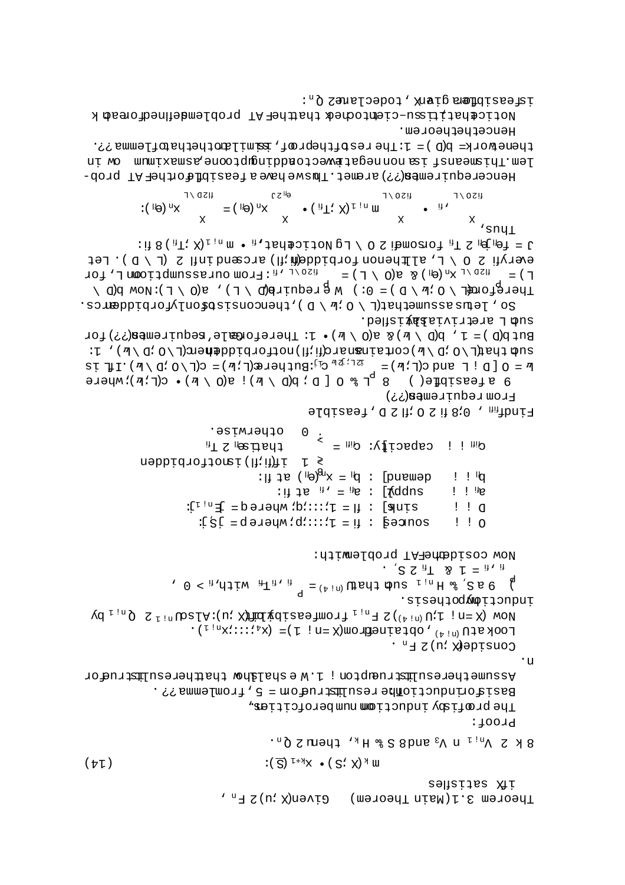$\exists$  - (d  $\setminus$  1)  $\leq$  [lini bases (fit impobidience nonsitie, d  $\setminus$  0  $\leq$  ily  $\exists$ y bet  $T$  ) =  $T^{3D}$   $T^{4D}$   $T^{4D}$   $T^{4D}$   $T^{4D}$   $T^{4D}$   $T^{4D}$   $T^{4D}$   $T^{4D}$   $T^{4D}$   $T^{4D}$   $T^{4D}$   $T^{4D}$   $T^{4D}$   $T^{4D}$   $T^{4D}$   $T^{4D}$   $T^{4D}$   $T^{4D}$   $T^{4D}$   $T^{4D}$   $T^{4D}$   $T^{4D}$   $T^{4D}$   $T^{4D}$   $T^{4D}$   $T^{4D$ Thereformed  $\wedge$  O  $\mathbb{R}$  / O  $\mathbb{R}$  / O  $\mathbb{R}$  / O  $\mathbb{R}$  / C  $\mathbb{R}$  / C  $\wedge$   $\mathbb{R}$  / C  $\wedge$   $\mathbb{R}$  / C  $\wedge$   $\mathbb{R}$  / C  $\wedge$   $\mathbb{R}$  /  $\mathbb{R}$  /  $\mathbb{R}$  /  $\mathbb{R}$  /  $\mathbb{R}$  /  $\mathbb{R}$  /  $\mathbb{R}$ . so we be also also the  $\sim$  0  $\mu$ . O  $\mu$  is  $\sim$  0  $\mu$  is  $\sim$   $\sim$   $\sim$   $\sim$   $\sim$ .beliai vatrivia bahisled. But  $p(D) = 1$ ,  $p(D \setminus M)$  s a(0  $\setminus M$ ) . In Thereform  $B$  is equirement  $(3,3)$  for : [ '( $\pi$ \ d' O\T)auə $\pi$ appratoriou(T; πριστοποιής σιοληθείτης σιολείτης στης τ  $\mathbb{F} = 0 [D ! T (T \cup D)] = \mathbb{F}^{T} \cdot \mathbb{F}^{T} \cdot \mathbb{F}^{T} \cdot \mathbb{F}^{T} \cdot \mathbb{F}^{T} \cdot \mathbb{F}^{T} \cdot \mathbb{F}^{T} \cdot \mathbb{F}^{T} \cdot \mathbb{F}^{T} \cdot \mathbb{F}^{T} \cdot \mathbb{F}^{T} \cdot \mathbb{F}^{T} \cdot \mathbb{F}^{T} \cdot \mathbb{F}^{T} \cdot \mathbb{F}^{T} \cdot \mathbb{F}^{T} \cdot \mathbb{F}^{T} \cdot \mathbb{F}^{T} \cdot \math$ exercised by  $\frac{1}{2}$  and  $\frac{1}{2}$  and  $\frac{1}{2}$  and  $\frac{1}{2}$  and  $\frac{1}{2}$  and  $\frac{1}{2}$  and  $\frac{1}{2}$  and  $\frac{1}{2}$  and  $\frac{1}{2}$  and  $\frac{1}{2}$  and  $\frac{1}{2}$  and  $\frac{1}{2}$  and  $\frac{1}{2}$  and  $\frac{1}{2}$  and  $\frac{1}{2}$  an Erow redntrewen(??) sldiasei, d S II; O S il 8;0, milbniq  $\alpha_{\rm HI}$  i capacity:  $\alpha_{\rm HI}$  =  $\alpha_{\rm HI}$  in Seximuse.  $\mathrm{H}$  is  $\mathrm{H}$  is the  $\mathrm{H}^{\mathrm{H}}$  $\geq 1$  if(ii) isoctorpidden demand :  $\mathbf{p} = \mathbf{x}^{\mathbf{D}^{\mathbf{G}}}$  is the set if:  $!$   $!$   $\mathbb{I}$ : it da  $_{\rm H}$ , =  $_{\rm He}$  : [for Iv e iii  $i$  i  $\mathbb{R}$ sink] :  $I = 1$ ::::/d: where q =  $I^{\text{in}}$  $! \cdot ! \cdot \alpha$  $:$   $S_i$  = d a  $S_i$  :  $:$   $:$   $:$   $I = I$  :  $S_i$  = d a  $I$   $:$   $:$   $I = I$  :  $S_i$  =  $S_i$   $:$   $:$   $I = I$  :  $S_i$  =  $S_i$   $:$   $:$   $I = I$  :  $S_i$  =  $S_i$   $:$   $I = I$  :  $S_i$  =  $S_i$   $:$   $I = I$  :  $S_i$  =  $S_i$   $:$   $I = I$  :  $S_i$  =  $S_i$   $:$   $I = I$  $! \cdot 0$ Now cosidentery problemith: .  $\sum_{i=1}^{n}$  2  $\sum_{i=1}^{n}$  2  $\sum_{i=1}^{n}$  =  $\sum_{i=1}^{n}$ ,  $0 <sub>a</sub>$ ,  $\frac{1}{2}$  and  $\frac{1}{2}$  and that  $\frac{1}{2}$  is  $\frac{1}{2}$  and  $\frac{1}{2}$  is  $\frac{1}{2}$  and  $\frac{1}{2}$  and  $\frac{1}{2}$  and  $\frac{1}{2}$  and  $\frac{1}{2}$  and  $\frac{1}{2}$  and  $\frac{1}{2}$  and  $\frac{1}{2}$  and  $\frac{1}{2}$  and  $\frac{1}{2}$ inductiomypothesis.  $Xd_{i,n} \subseteq X$ <sup>1</sup> ( $\alpha$  )  $X \in \mathbb{R}$  ( $\alpha$  )  $X \in \mathbb{R}$  ( $\alpha$  )  $X \in \mathbb{R}$  ( $\alpha$  )  $X \in \mathbb{R}$  ( $\alpha$  )  $\alpha$  )  $X \in \mathbb{R}$  ( $\alpha$  )  $\alpha$  )  $X \in \mathbb{R}$  ( $\alpha$  )  $\alpha$  )  $\alpha$  $\text{LOOK at } \text{U}^{\text{(h)}\text{ in }}, \text{ }\text{Ob}\text{Aut} \text{ in } \text{Hom}(\text{K}=\text{I}^{\text{t}}\text{ in } \text{I}^{\text{t}}) = \text{K}^{\text{t}}\text{K}^{\text{t}}\text{K}^{\text{t}}\text{K}^{\text{t}}\text{K}^{\text{t}}\text{K}^{\text{t}}$ Conside& Xi) 2 F<sub>n</sub>.  $\cdot$ u  $\frac{1}{2}$  as a must present  $\frac{1}{2}$  and  $\frac{1}{2}$  in  $\frac{1}{2}$  in  $\frac{1}{2}$  in  $\frac{1}{2}$  in  $\frac{1}{2}$  in  $\frac{1}{2}$  in  $\frac{1}{2}$  in  $\frac{1}{2}$  in  $\frac{1}{2}$  in  $\frac{1}{2}$  in  $\frac{1}{2}$  in  $\frac{1}{2}$  in  $\frac{1}{2}$  in  $\frac{1}{2}$  BasifioninductiomAeresulmstructom = 5, fromlemma??. The profisty inductional munberofcities. Proof:  $8 K S$   $\Lambda^{\text{u}^{\dagger} \text{u}}$   $\Lambda$   $\Lambda$ <sup>3</sup> supers  $8$   $\mu$   $\mu$   $\Lambda$   $\mu$   $\mu$   $\Lambda$   $\sigma$   $\mu$   $\Lambda$  $: (\overline{S})$ <sup>[+ $\forall$ </sup>X •  $(S; X)$ <sup> $\forall$ </sup> W  $(f_{\overline{v}})$ ifX səfisidas Theorem 3.1 (Main Theorem) Given(X ;u) 2 F<sub>n</sub>,

Hencethetheorem. thenework= b(D) = 1:Theresttheprof, samilarthethathing??. In wo munixemes, encoding into the coone definition of in the main form in Hencerequiremen(??) aremet. Thuswe have a feasibficthef AT prob-

: it 8 ( $\text{A}$ T; X)<sub>I in</sub> m •  $\text{A}$ , Jan bij to political politic  $\text{A}$  in  $\text{A}$  in  $\text{B}$  in  $\text{A}$  in  $\text{A}$ 

 $\frac{X}{S}$  , sny  $\frac{X}{S}$ 

isfeasibfless gianx, todeclannes Q<sub>n</sub>: Noticehatitism-ciemtodhedt thattheFT problemdeflnedforeadk